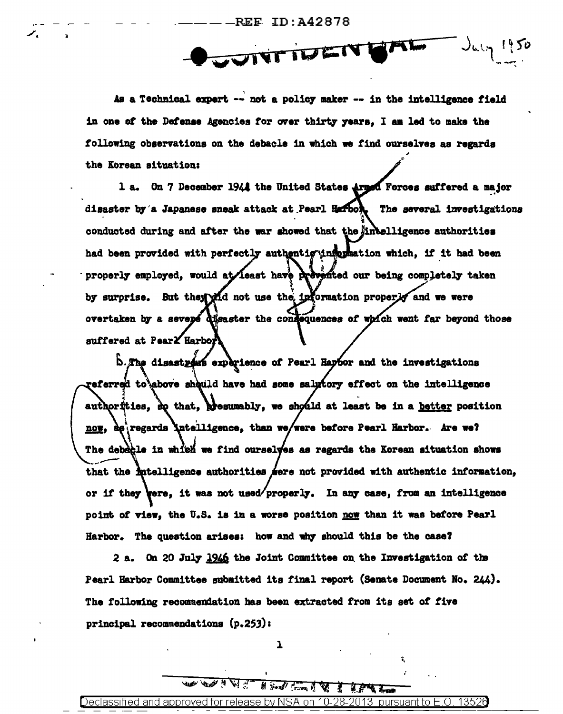**REE ID: A42878** 

UNTIVEN GAL  $J_{4,1}$  1950

As a Technical expert -- not a policy maker -- in the intelligence field in one of the Defense Agencies for over thirty years, I am led to make the following observations on the debacle in which we find ourselves as regards the Korean situation:

1 a. On 7 December 1944 the United States Armsd Forces suffered a major disaster by a Japanese sneak attack at Pearl Harbon. The several investigations conducted during and after the war showed that the intelligence authorities had been provided with perfectly authentig information which, if it had been properly employed, would at least have prevented our being completely taken by surprise. But they wid not use the information properly and we were overtaken by a sevepe disaster the consequences of which went far beyond those suffered at Pear<sup>X</sup> Harbor

b.The disastrows experience of Pearl Haptor and the investigations referred to above sheuld have had some salptory effect on the intelligence authorities, eq that, presumably, we should at least be in a better position now, as regards intelligence, than we/were before Pearl Harbor. Are we? The debable in which we find ourselves as regards the Korean situation shows that the intelligence authorities were not provided with authentic information, or if they vere, it was not used/properly. In any case, from an intelligence point of view, the U.S. is in a worse position now than it was before Pearl Harbor. The question arises: how and why should this be the case?

2 a. On 20 July 1946 the Joint Committee on the Investigation of the Pearl Harbor Committee submitted its final report (Senate Document No. 244). The following recommendation has been extracted from its set of five principal recommendations (p.253):

 $\mathbf{1}$ 

**WEB YOU HT** 

Declassified and approved for release by NSA on -10-28pursuant to E.O. 13526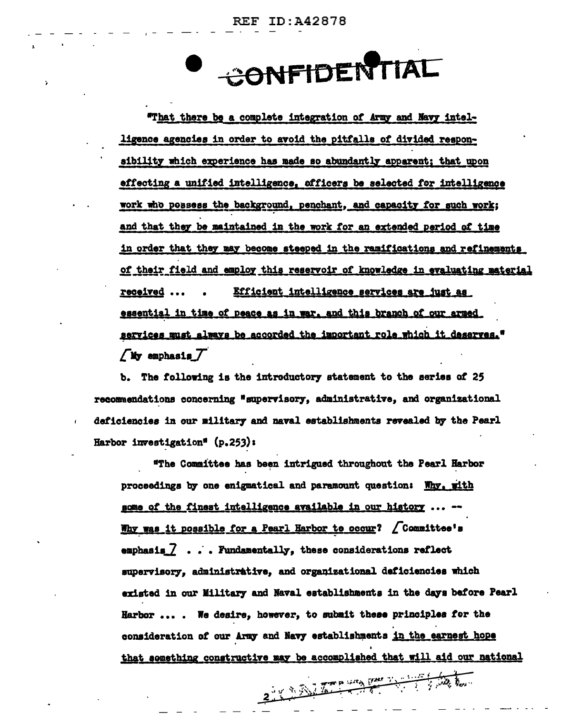CONFIDENTIAL

"That there be a complete integration of Army and Navy intelligence agencies in order to avoid the pitfalls of divided responsibility which experience has made so abundantly apparent; that upon effecting a unified intelligence, officers be selected for intelligence work who possess the background, penchant, and capacity for such work; and that they be maintained in the work for an extended period of time in order that they may become steeped in the ramifications and refinements of their field and employ this reservoir of knowledge in evaluating material Efficient intelligence services are just as received ... essential in time of peace as in war, and this branch of our armed services must always be accorded the important role which it deserves."  $\sqrt{M}$  emphasis  $\overline{f}$ 

b. The following is the introductory statement to the series of 25 recommendations concerning "supervisory, administrative, and organizational deficiencies in our military and naval establishments revealed by the Pearl Harbor investigation<sup>®</sup>  $(p, 253)$ :

"The Committee has been intrigued throughout the Pearl Harbor proceedings by one enigmatical and paramount question: Why, with some of the finest intelligence available in our history. Why was it possible for a Pearl Harbor to occur? / Committee's emphasis  $\mathbb Z$  ... Fundamentally, these considerations reflect supervisory, administrative, and organizational deficiencies which existed in our Military and Naval establishments in the days before Pearl Harbor .... We desire, however, to submit these principles for the consideration of our Army and Navy establishments in the earnest hope that something constructive may be accomplished that will aid our national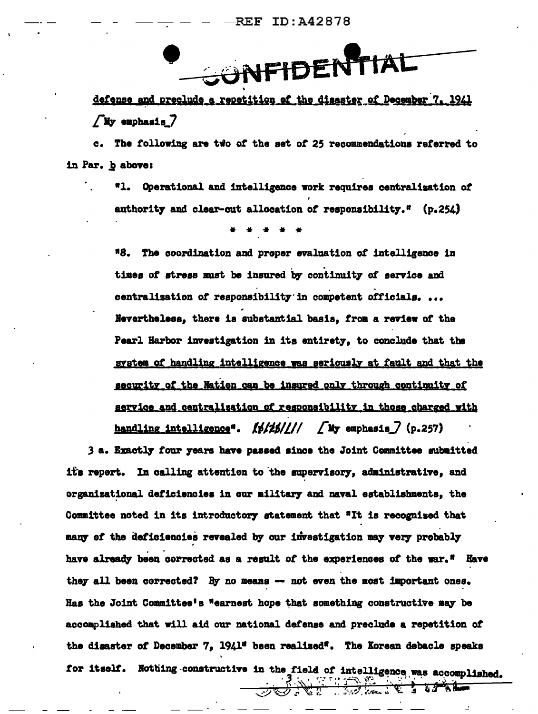NFIDENTI

defense and preclude a repetition of the disaster of December 7, 1941 /My emphasis 7

c. The following are two of the set of 25 recommendations referred to in Par. b above:

> "1. Operational and intelligence work requires centralization of authority and clear-cut allocation of responsibility." (p.254)

"8. The coordination and proper evaluation of intelligence in times of stress must be insured by continuity of service and centralization of responsibility in competent officials... Nevertheless, there is substantial basis, from a review of the Pearl Harbor investigation in its entirety, to conclude that the system of handling intelligence was seriously at fault and that the security of the Nation can be insured only through continuity of service and centralization of responsibility in those charged with handling intelligence".  $\frac{f}{f}$ ////  $\frac{f}{f}$  My emphasis  $\frac{f}{f}$  (p.257)

3 a. Exactly four years have passed since the Joint Committee submitted its repert. In calling attention to the supervisory, administrative, and organizational deficiencies in our military and naval establishments, the Committee noted in its introductory statement that "It is recognised that many of the deficiencies revealed by our investigation may very probably have already been corrected as a result of the experiences of the war." Have they all been corrected? By no means -- not even the most important ones. Has the Joint Committee's "earnest hope that something constructive may be accomplished that will aid our national defense and preclude a repetition of the disaster of December 7, 1941" been realized". The Korean debacle speaks for itself. Nothing constructive in the field of intelligence was accomplished.<br>  $\overrightarrow{3}$  and  $\overrightarrow{4}$  and  $\overrightarrow{6}$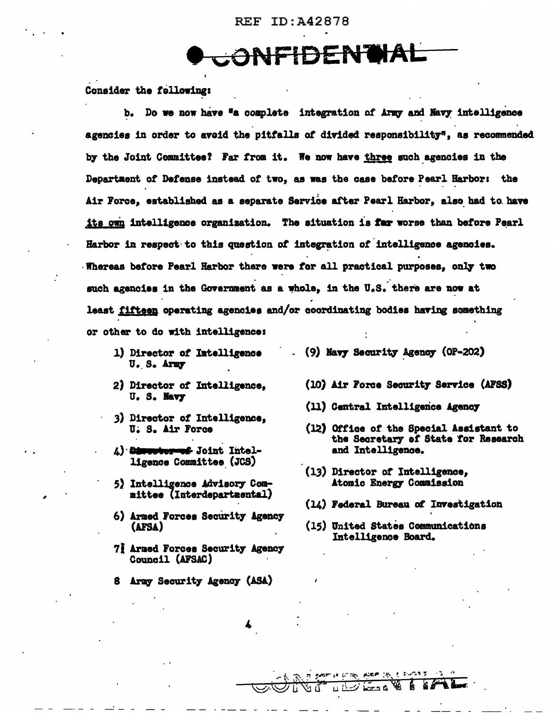**ONFIDENTIAL** 

Consider the following:

b. Do we now have "a complete integration of Army and Navy intelligence agencies in order to avoid the pitfalls of divided responsibility", as recommended by the Joint Committee? Far from it. We now have three such agencies in the Department of Defense instead of two. as was the case before Pearl Harbor: the Air Force, established as a separate Service after Pearl Harbor, also had to have its own intelligence organization. The situation is far worse than before Pearl Harbor in respect to this question of integration of intelligence agencies. Whereas before Pearl Harbor there were for all practical purposes, only two such agencies in the Government as a whole, in the U.S. there are now at least fifteen operating agencies and/or coordinating bodies having something or other to do with intelligence:

- 1) Director of Intelligence U.S. Army
- 2) Director of Intelligence, U. S. Navy
- 3) Director of Intelligence, U. S. Air Force
- A) Dimenserved Joint Intelligence Committee (JCS)
- 5) Intelligence Advisory Committee (Interdepartmental)
- 6) Armed Forces Security Agency (AFSA)
- 7] Armed Forces Security Agency Council (AFSAC)
- 8 Army Security Agency (ASA)
- (9) Navy Security Agency (0P-202)
	- (10) Air Force Security Service (AFSS)
	- (11) Central Intelligence Agency
	- (12) Office of the Special Assistant to the Secretary of State for Research and Intelligence.
	- (13) Director of Intelligence, Atomic Energy Commission
	- (14) Federal Bureau of Investigation
	- (15) United States Communications Intelligence Board.

**Search of Cash, Read (W) 3, Story &**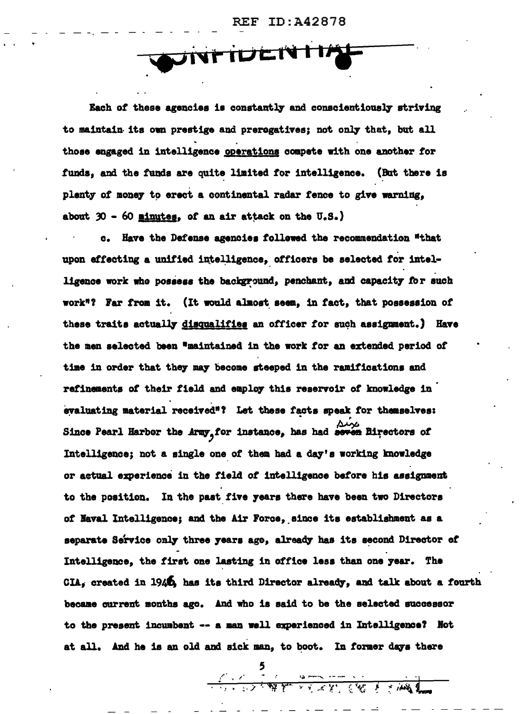WINTIULINTIA

Each of these agencies is constantly and conscientiously striving to maintain its own prestige and preregatives; not only that, but all those engaged in intelligence operations compete with one another for funds, and the funds are quite limited for intelligence. (But there is plenty of money to erect a continental radar fence to give warning, about 30 - 60 minutes, of an air attack on the U.S.)

c. Have the Defense agencies followed the recommendation "that upon effecting a unified intelligence, officers be selected for intelligence work who possess the background, penchant, and capacity for such work"? Far from it. (It would almost seem, in fact, that possession of these traits actually disqualifies an officer for such assignment.) Have the men selected been "maintained in the work for an extended period of time in order that they may become steeped in the ramifications and refinements of their field and employ this reservoir of knowledge in evaluating material received"? Let these facts speak for themselves: Since Pearl Harbor the Army for instance, has had seven Birectors of Intelligence; not a single one of them had a day's working knowledge or actual experience in the field of intelligence before his assignment to the position. In the past five years there have been two Directors of Maval Intelligence; and the Air Force, since its establishment as a separate Service only three years ago, already has its second Director of Intelligence, the first one lasting in office less than one year. The CIA, created in 1940, has its third Director already, and talk about a fourth became current months ago. And who is said to be the selected successor to the present incumbent -- a man well experienced in Intelligence? Not at all. And he is an old and sick man, to boot. In former days there

**Contact of the community of the community of the community of the community of the community of the community of the community of the community of the community of the community of the community of the community of the co**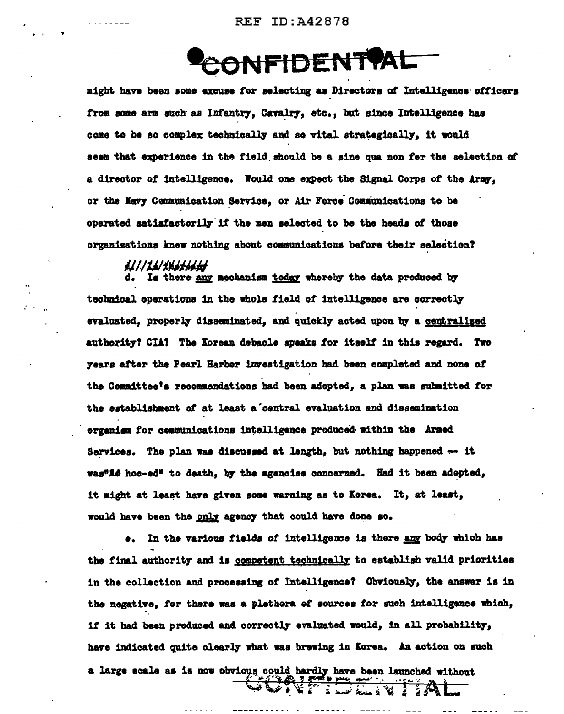$REE$ <sub>-ID</sub>:  $A42878$ 

## **ONFIDENTPAL**

might have been some excuse for selecting as Directors of Intelligence officers from some arm such as Infantry, Cavalry, etc., but since Intelligence has come to be so complex technically and so vital strategically. it would seem that experience in the field should be a sine qua non for the selection of a director of intelligence. Would one expect the Signal Corps of the Army. or the Navy Communication Service, or Air Force Communications to be operated satisfactorily if the men selected to be the heads of those organizations knew nothing about communications before their selection?

A///*IA/<i>ihateaty*<br>d. Is there <u>any</u> mechanism <u>today</u> whereby the data produced by technical operations in the whole field of intelligence are correctly evaluated. properly disseminated. and quickly acted upon by a centralized authority? CIA? The Korean debacle speaks for itself in this regard. Two years after the Pearl Harber investigation had been completed and none of the Committee's recommendations had been adopted, a plan was submitted for the establishment of at least a central evaluation and dissemination organigm for communications intelligence produced within the Armed Services. The plan was discussed at length, but nothing happened -- it was"Ad hoc-ed" to death, by the agencies concerned. Had it been adopted, it might at least have given some warning as to Korea. It, at least, would have been the only agency that could have done so.

In the various fields of intelligence is there any body which has  $\bullet$ . the final authority and is competent technically to establish valid priorities in the collection and processing of Intelligence? Obviously, the answer is in the negative, for there was a plethora of sources for such intelligence which, if it had been preduced and correctly evaluated would, in all prebability, have indicated quite clearly what was brewing in Korea. An action on such a large scale as is now obvious could hardly have been launched without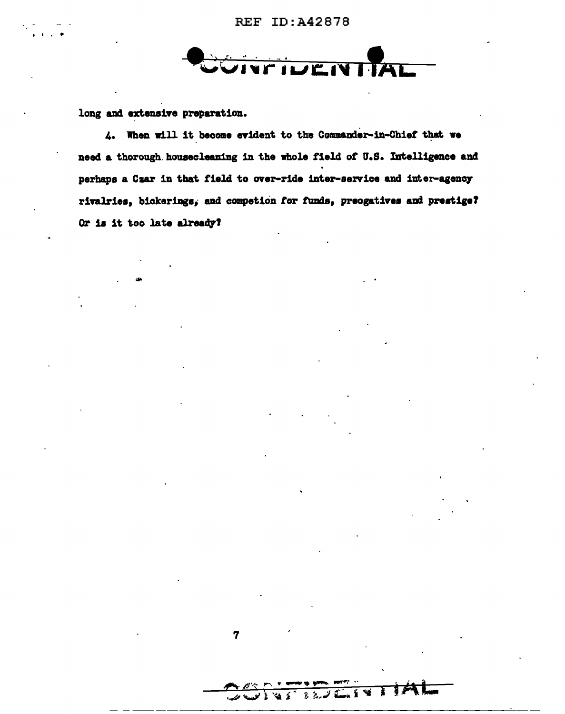

long and extensive preparation.

4. When will it become evident to the Commander-in-Chief that we need a thorough housecleaning in the whole field of U.S. Intelligence and perhaps a Czar in that field to over-ride inter-service and inter-agency rivalries, bickerings, and competion for funds, preogatives and prestige? Or is it too late already?

 $\overline{\mathbf{7}}$ 

 $3.77.$ 

کے بجٹ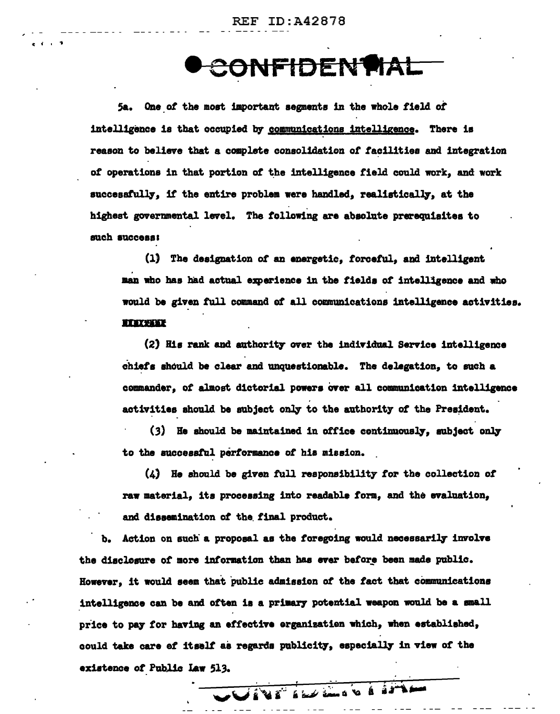ID:A42878  $\mathbf{REF}$ 

CONFIDENTAL

5a. One of the most important segments in the whole field of intelligence is that occupied by communications intelligence. There is reason to believe that a complete consolidation of facilities and integration of operations in that portion of the intelligence field could work, and work successfully, if the entire problem were handled, realistically, at the highest governmental level. The following are absolute prerequisites to such success:

(1) The designation of an energetic, forceful, and intelligent man who has had actual experience in the fields of intelligence and who would be given full command of all communications intelligence activities. **REACTIVE** 

(2) His rank and authority over the individual Service intelligence chiefs should be clear and unquestionable. The delegation, to such a commander, of almost dictorial powers over all communication intelligence activities should be subject only to the authority of the President.

(3) He should be maintained in office continuously, subject only to the successful performance of his mission.

 $(A)$  He should be given full responsibility for the collection of raw material, its processing into readable form, and the evaluation, and dissemination of the final product.

Action on such a proposal as the foregoing would necessarily involve the disclesure of more information than has ever before been made public. However, it would seem that public admission of the fact that communications intelligence can be and often is a primary potential weapon would be a small price to pay for having an effective organization which, when established, could take care of itself as regards publicity, especially in view of the existence of Public Law 513.

VIVI ikk knob a il